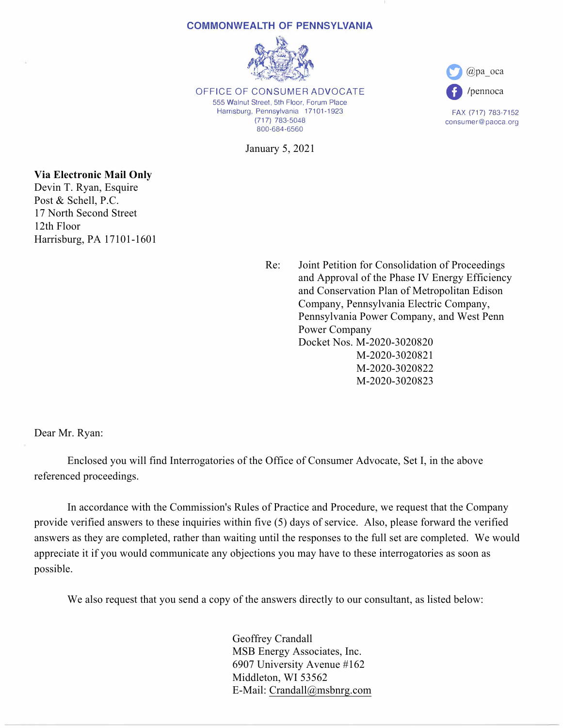## **COMMONWEALTH OF PENNSYLVANIA**



OFFICE OF CONSUMER ADVOCATE 555 Walnut Street, 5th Floor, Forum Place Harrisburg, Pennsylvania 17101-1923 (717) 783-5048 800-684-6560

January 5, 2021



FAX (717) 783-7152 consumer@paoca.org

**Via Electronic Mail Only** Devin T. Ryan, Esquire Post & Schell, P.C. 17 North Second Street 12th Floor Harrisburg, PA 17101-1601

> Re: Joint Petition for Consolidation of Proceedings and Approval of the Phase IV Energy Efficiency and Conservation Plan of Metropolitan Edison Company, Pennsylvania Electric Company, Pennsylvania Power Company, and West Penn Power Company Docket Nos. M-2020-3020820 M-2020-3020821 M-2020-3020822 M-2020-3020823

Dear Mr. Ryan:

Enclosed you will find Interrogatories of the Office of Consumer Advocate, Set I, in the above referenced proceedings.

In accordance with the Commission's Rules of Practice and Procedure, we request that the Company provide verified answers to these inquiries within five (5) days of service. Also, please forward the verified answers as they are completed, rather than waiting until the responses to the full set are completed. We would appreciate it if you would communicate any objections you may have to these interrogatories as soon as possible.

We also request that you send a copy of the answers directly to our consultant, as listed below:

Geoffrey Crandall MSB Energy Associates, Inc. 6907 University Avenue #162 Middleton, WI 53562 E-Mail: Crandall@msbnrg.com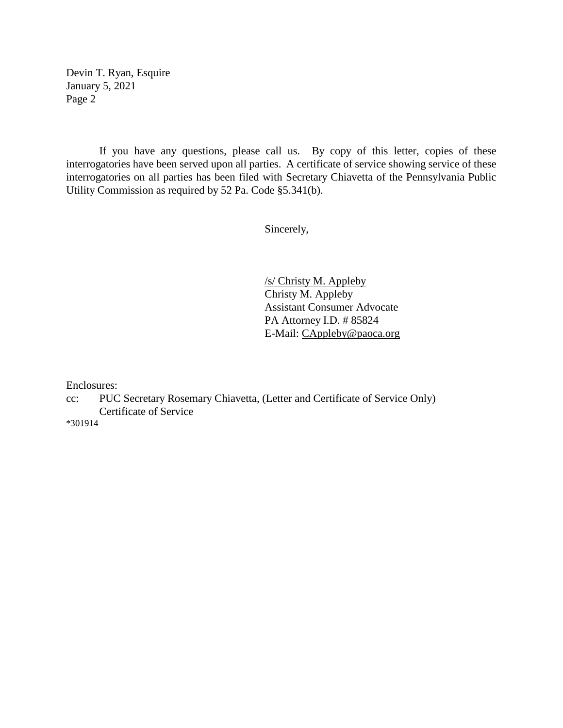Devin T. Ryan, Esquire January 5, 2021 Page 2

If you have any questions, please call us. By copy of this letter, copies of these interrogatories have been served upon all parties. A certificate of service showing service of these interrogatories on all parties has been filed with Secretary Chiavetta of the Pennsylvania Public Utility Commission as required by 52 Pa. Code §5.341(b).

Sincerely,

/s/ Christy M. Appleby Christy M. Appleby Assistant Consumer Advocate PA Attorney I.D. # 85824 E-Mail: [CAppleby@paoca.org](mailto:CAppleby@paoca.org)

Enclosures:

cc: PUC Secretary Rosemary Chiavetta, (Letter and Certificate of Service Only) Certificate of Service

\*301914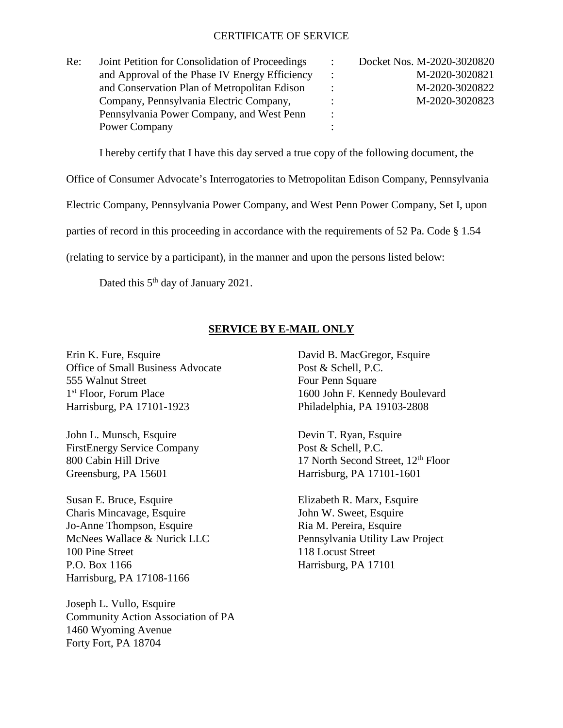## CERTIFICATE OF SERVICE

| Re: | Joint Petition for Consolidation of Proceedings |                | Docket Nos. M-2020-3020820 |
|-----|-------------------------------------------------|----------------|----------------------------|
|     | and Approval of the Phase IV Energy Efficiency  |                | M-2020-3020821             |
|     | and Conservation Plan of Metropolitan Edison    |                | M-2020-3020822             |
|     | Company, Pennsylvania Electric Company,         |                | M-2020-3020823             |
|     | Pennsylvania Power Company, and West Penn       | $\ddot{\cdot}$ |                            |
|     | Power Company                                   |                |                            |

I hereby certify that I have this day served a true copy of the following document, the

Office of Consumer Advocate's Interrogatories to Metropolitan Edison Company, Pennsylvania

Electric Company, Pennsylvania Power Company, and West Penn Power Company, Set I, upon

parties of record in this proceeding in accordance with the requirements of 52 Pa. Code § 1.54

(relating to service by a participant), in the manner and upon the persons listed below:

Dated this 5<sup>th</sup> day of January 2021.

## **SERVICE BY E-MAIL ONLY**

Erin K. Fure, Esquire David B. MacGregor, Esquire Office of Small Business Advocate Post & Schell, P.C. 555 Walnut Street Four Penn Square 1<sup>st</sup> Floor, Forum Place 1600 John F. Kennedy Boulevard Harrisburg, PA 17101-1923 Philadelphia, PA 19103-2808

John L. Munsch, Esquire Devin T. Ryan, Esquire FirstEnergy Service Company Post & Schell, P.C. Greensburg, PA 15601 Harrisburg, PA 17101-1601

Susan E. Bruce, Esquire Elizabeth R. Marx, Esquire Charis Mincavage, Esquire John W. Sweet, Esquire Jo-Anne Thompson, Esquire Ria M. Pereira, Esquire 100 Pine Street 118 Locust Street P.O. Box 1166 Harrisburg, PA 17101 Harrisburg, PA 17108-1166

Joseph L. Vullo, Esquire Community Action Association of PA 1460 Wyoming Avenue Forty Fort, PA 18704

800 Cabin Hill Drive 17 North Second Street,  $12<sup>th</sup>$  Floor

McNees Wallace & Nurick LLC Pennsylvania Utility Law Project